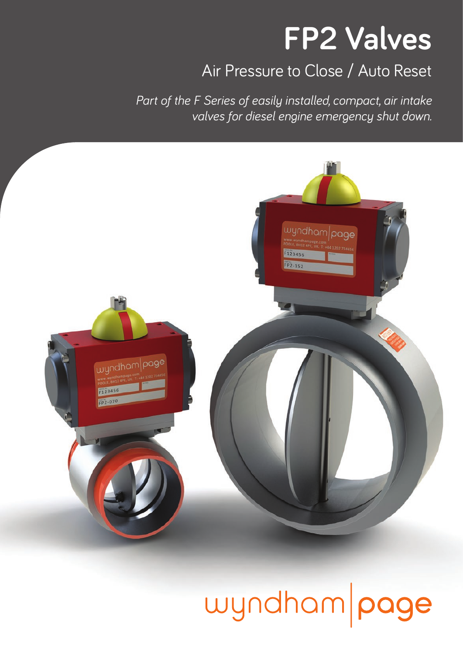## **FP2 Valves**

#### Air Pressure to Close / Auto Reset

*Part of the F Series of easily installed, compact, air intake valves for diesel engine emergency shut down.* 



## wyndham page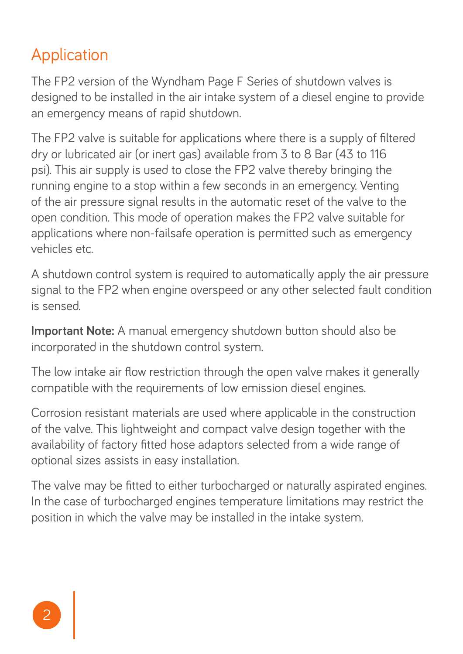#### Application

The FP2 version of the Wyndham Page F Series of shutdown valves is designed to be installed in the air intake system of a diesel engine to provide an emergency means of rapid shutdown.

The FP2 valve is suitable for applications where there is a supply of filtered dry or lubricated air (or inert gas) available from 3 to 8 Bar (43 to 116 psi). This air supply is used to close the FP2 valve thereby bringing the running engine to a stop within a few seconds in an emergency. Venting of the air pressure signal results in the automatic reset of the valve to the open condition. This mode of operation makes the FP2 valve suitable for applications where non-failsafe operation is permitted such as emergency vehicles etc.

A shutdown control system is required to automatically apply the air pressure signal to the FP2 when engine overspeed or any other selected fault condition is sensed.

**Important Note:** A manual emergency shutdown button should also be incorporated in the shutdown control system.

The low intake air flow restriction through the open valve makes it generally compatible with the requirements of low emission diesel engines.

Corrosion resistant materials are used where applicable in the construction of the valve. This lightweight and compact valve design together with the availability of factory fitted hose adaptors selected from a wide range of optional sizes assists in easy installation.

The valve may be fitted to either turbocharged or naturally aspirated engines. In the case of turbocharged engines temperature limitations may restrict the position in which the valve may be installed in the intake system.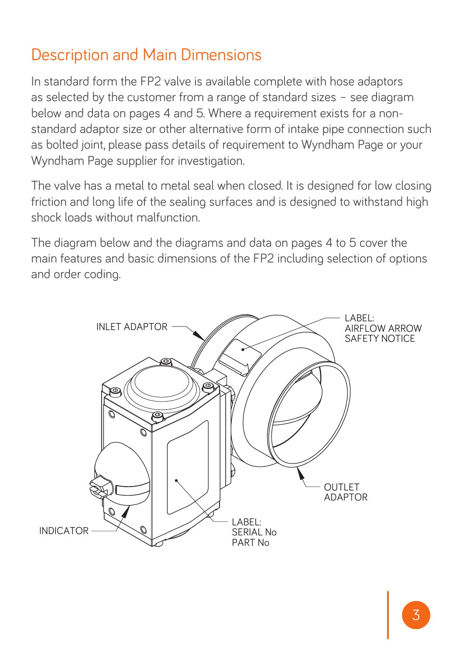#### Description and Main Dimensions

In standard form the FP2 valve is available complete with hose adaptors as selected by the customer from a range of standard sizes – see diagram below and data on pages 4 and 5. Where a requirement exists for a nonstandard adaptor size or other alternative form of intake pipe connection such as bolted joint, please pass details of requirement to Wyndham Page or your Wyndham Page supplier for investigation.

The valve has a metal to metal seal when closed. It is designed for low closing friction and long life of the sealing surfaces and is designed to withstand high shock loads without malfunction.

The diagram below and the diagrams and data on pages 4 to 5 cover the main features and basic dimensions of the FP2 including selection of options and order coding.

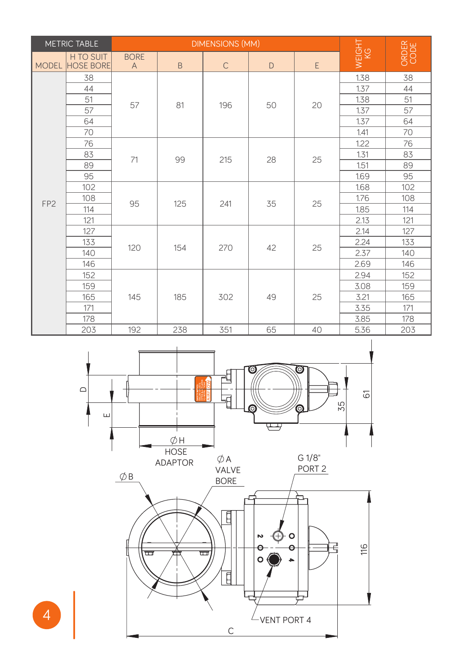| <b>METRIC TABLE</b> |                               |                               | <b>DIMENSIONS (MM)</b> |              |    |    |              |               |
|---------------------|-------------------------------|-------------------------------|------------------------|--------------|----|----|--------------|---------------|
| <b>MODEL</b>        | H TO SUIT<br><b>HOSE BORE</b> | <b>BORE</b><br>$\overline{A}$ | B                      | $\mathsf{C}$ | D  | E  | WEIGHT<br>KG | ORDER<br>CODE |
| FP <sub>2</sub>     | 38                            | 57                            | 81                     | 196          | 50 | 20 | 1.38         | 38            |
|                     | 44                            |                               |                        |              |    |    | 1.37         | 44            |
|                     | 51                            |                               |                        |              |    |    | 1.38         | 51            |
|                     | 57                            |                               |                        |              |    |    | 1.37         | 57            |
|                     | 64                            |                               |                        |              |    |    | 1.37         | 64            |
|                     | 70                            |                               |                        |              |    |    | 1.41         | 70            |
|                     | 76                            | 71                            | 99                     | 215          | 28 | 25 | 1.22         | 76            |
|                     | 83                            |                               |                        |              |    |    | 1.31         | 83            |
|                     | 89                            |                               |                        |              |    |    | 1.51         | 89            |
|                     | 95                            |                               |                        |              |    |    | 1.69         | 95            |
|                     | 102                           | 95                            | 125                    | 241          | 35 | 25 | 1.68         | 102           |
|                     | 108                           |                               |                        |              |    |    | 1.76         | 108           |
|                     | 114                           |                               |                        |              |    |    | 1.85         | 114           |
|                     | 121                           |                               |                        |              |    |    | 2.13         | 121           |
|                     | 127                           | 120                           | 154                    | 270          | 42 | 25 | 2.14         | 127           |
|                     | 133                           |                               |                        |              |    |    | 2.24         | 133           |
|                     | 140                           |                               |                        |              |    |    | 2.37         | 140           |
|                     | 146                           |                               |                        |              |    |    | 2.69         | 146           |
|                     | 152                           | 145                           | 185                    | 302          | 49 | 25 | 2.94         | 152           |
|                     | 159                           |                               |                        |              |    |    | 3.08         | 159           |
|                     | 165                           |                               |                        |              |    |    | 3.21         | 165           |
|                     | 171                           |                               |                        |              |    |    | 3.35         | 171           |
|                     | 178                           |                               |                        |              |    |    | 3.85         | 178           |
|                     | 203                           | 192                           | 238                    | 351          | 65 | 40 | 5.36         | 203           |

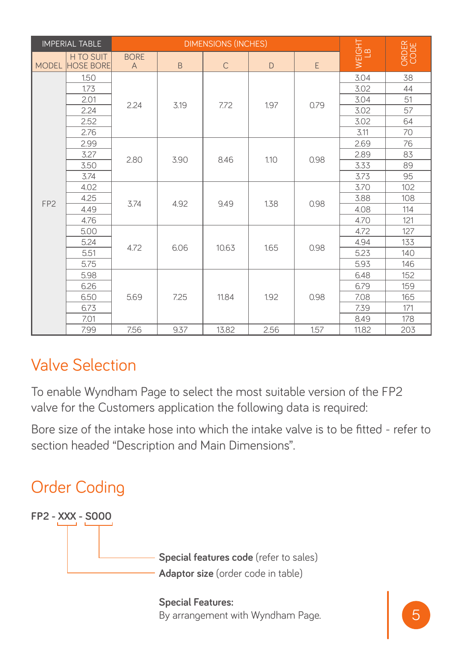| <b>IMPERIAL TABLE</b> |                               | <b>DIMENSIONS (INCHES)</b>  |      |              |      |      | TIGHT<br>LB      |               |
|-----------------------|-------------------------------|-----------------------------|------|--------------|------|------|------------------|---------------|
| <b>MODEL</b>          | H TO SUIT<br><b>HOSE BORE</b> | <b>BORE</b><br>$\mathsf{A}$ | B    | $\mathsf{C}$ | D    | E    | $\overline{\ge}$ | ORDER<br>CODE |
| FP <sub>2</sub>       | 1.50                          | 2.24                        | 3.19 | 7.72         | 1.97 | 0.79 | 3.04             | 38            |
|                       | 1.73                          |                             |      |              |      |      | 3.02             | 44            |
|                       | 2.01                          |                             |      |              |      |      | 3.04             | 51            |
|                       | 2.24                          |                             |      |              |      |      | 3.02             | 57            |
|                       | 2.52                          |                             |      |              |      |      | 3.02             | 64            |
|                       | 2.76                          |                             |      |              |      |      | 3.11             | 70            |
|                       | 2.99                          | 2.80                        | 3.90 | 8.46         | 1.10 | 0.98 | 2.69             | 76            |
|                       | 3.27                          |                             |      |              |      |      | 2.89             | 83            |
|                       | 3.50                          |                             |      |              |      |      | 3.33             | 89            |
|                       | 3.74                          |                             |      |              |      |      | 3.73             | 95            |
|                       | 4.02                          | 3.74                        | 4.92 | 9.49         | 1.38 | 0.98 | 3.70             | 102           |
|                       | 4.25                          |                             |      |              |      |      | 3.88             | 108           |
|                       | 4.49                          |                             |      |              |      |      | 4.08             | 114           |
|                       | 4.76                          |                             |      |              |      |      | 4.70             | 121           |
|                       | 5.00                          | 4.72                        | 6.06 | 10.63        | 1.65 | 0.98 | 4.72             | 127           |
|                       | 5.24                          |                             |      |              |      |      | 4.94             | 133           |
|                       | 5.51                          |                             |      |              |      |      | 5.23             | 140           |
|                       | 5.75                          |                             |      |              |      |      | 5.93             | 146           |
|                       | 5.98                          | 5.69                        | 7.25 | 11.84        | 1.92 | 0.98 | 6.48             | 152           |
|                       | 6.26                          |                             |      |              |      |      | 6.79             | 159           |
|                       | 6.50                          |                             |      |              |      |      | 7.08             | 165           |
|                       | 6.73                          |                             |      |              |      |      | 7.39             | 171           |
|                       | 7.01                          |                             |      |              |      |      | 8.49             | 178           |
|                       | 7.99                          | 7.56                        | 9.37 | 13.82        | 2.56 | 1.57 | 11.82            | 203           |

#### Valve Selection

To enable Wyndham Page to select the most suitable version of the FP2 valve for the Customers application the following data is required:

Bore size of the intake hose into which the intake valve is to be fitted - refer to section headed "Description and Main Dimensions".



**Special Features:**  By arrangement with Wyndham Page.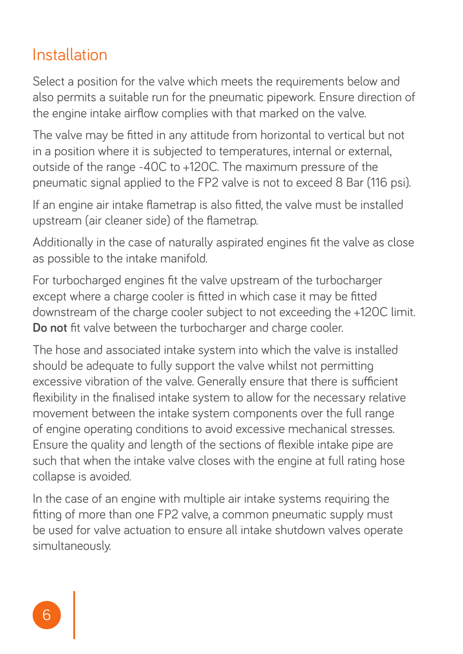#### Installation

Select a position for the valve which meets the requirements below and also permits a suitable run for the pneumatic pipework. Ensure direction of the engine intake airflow complies with that marked on the valve.

The valve may be fitted in any attitude from horizontal to vertical but not in a position where it is subjected to temperatures, internal or external, outside of the range -40C to +120C. The maximum pressure of the pneumatic signal applied to the FP2 valve is not to exceed 8 Bar (116 psi).

If an engine air intake flametrap is also fitted, the valve must be installed upstream (air cleaner side) of the flametrap.

Additionally in the case of naturally aspirated engines fit the valve as close as possible to the intake manifold.

For turbocharged engines fit the valve upstream of the turbocharger except where a charge cooler is fitted in which case it may be fitted downstream of the charge cooler subject to not exceeding the +120C limit. **Do not** fit valve between the turbocharger and charge cooler.

The hose and associated intake system into which the valve is installed should be adequate to fully support the valve whilst not permitting excessive vibration of the valve. Generally ensure that there is sufficient flexibility in the finalised intake system to allow for the necessary relative movement between the intake system components over the full range of engine operating conditions to avoid excessive mechanical stresses. Ensure the quality and length of the sections of flexible intake pipe are such that when the intake valve closes with the engine at full rating hose collapse is avoided.

In the case of an engine with multiple air intake systems requiring the fitting of more than one FP2 valve, a common pneumatic supply must be used for valve actuation to ensure all intake shutdown valves operate simultaneously.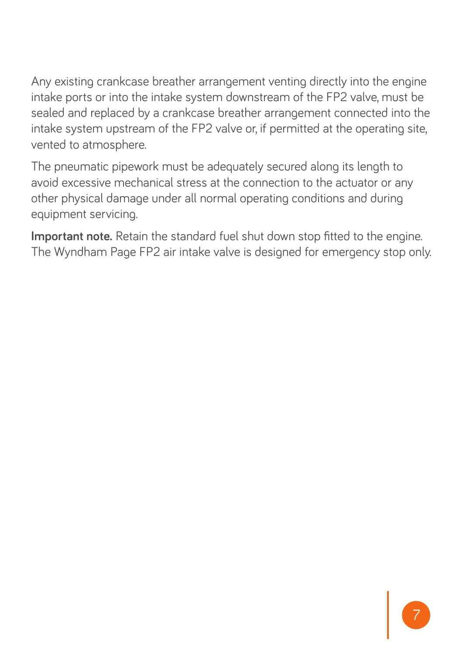Any existing crankcase breather arrangement venting directly into the engine intake ports or into the intake system downstream of the FP2 valve, must be sealed and replaced by a crankcase breather arrangement connected into the intake system upstream of the FP2 valve or, if permitted at the operating site, vented to atmosphere.

The pneumatic pipework must be adequately secured along its length to avoid excessive mechanical stress at the connection to the actuator or any other physical damage under all normal operating conditions and during equipment servicing.

**Important note.** Retain the standard fuel shut down stop fitted to the engine. The Wyndham Page FP2 air intake valve is designed for emergency stop only.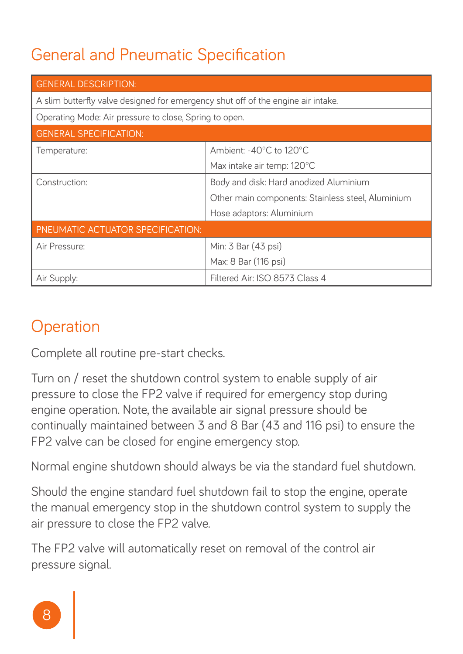### General and Pneumatic Specification

| <b>GENERAL DESCRIPTION:</b>                                                      |                                                   |  |  |  |
|----------------------------------------------------------------------------------|---------------------------------------------------|--|--|--|
| A slim butterfly valve designed for emergency shut off of the engine air intake. |                                                   |  |  |  |
| Operating Mode: Air pressure to close, Spring to open.                           |                                                   |  |  |  |
| <b>GENERAL SPECIFICATION:</b>                                                    |                                                   |  |  |  |
| Temperature:                                                                     | Ambient: -40°C to 120°C                           |  |  |  |
|                                                                                  | Max intake air temp: 120°C                        |  |  |  |
| Construction:                                                                    | Body and disk: Hard anodized Aluminium            |  |  |  |
|                                                                                  | Other main components: Stainless steel, Aluminium |  |  |  |
|                                                                                  | Hose adaptors: Aluminium                          |  |  |  |
| PNEUMATIC ACTUATOR SPECIFICATION:                                                |                                                   |  |  |  |
| Air Pressure:                                                                    | Min: 3 Bar (43 psi)                               |  |  |  |
|                                                                                  | Max: 8 Bar (116 psi)                              |  |  |  |
| Air Supply:                                                                      | Filtered Air: ISO 8573 Class 4                    |  |  |  |

### **Operation**

Complete all routine pre-start checks.

Turn on / reset the shutdown control system to enable supply of air pressure to close the FP2 valve if required for emergency stop during engine operation. Note, the available air signal pressure should be continually maintained between 3 and 8 Bar (43 and 116 psi) to ensure the FP2 valve can be closed for engine emergency stop.

Normal engine shutdown should always be via the standard fuel shutdown.

Should the engine standard fuel shutdown fail to stop the engine, operate the manual emergency stop in the shutdown control system to supply the air pressure to close the FP2 valve.

The FP2 valve will automatically reset on removal of the control air pressure signal.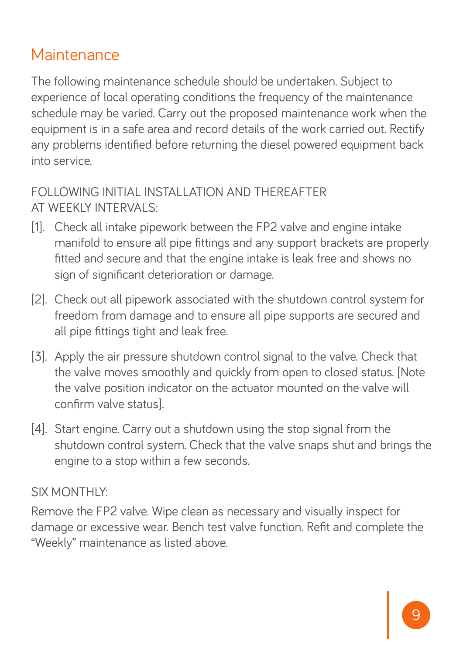#### **Maintenance**

The following maintenance schedule should be undertaken. Subject to experience of local operating conditions the frequency of the maintenance schedule may be varied. Carry out the proposed maintenance work when the equipment is in a safe area and record details of the work carried out. Rectify any problems identified before returning the diesel powered equipment back into service.

#### FOLLOWING INITIAL INSTALLATION AND THEREAFTER AT WEEKLY INTERVALS:

- [1]. Check all intake pipework between the FP2 valve and engine intake manifold to ensure all pipe fittings and any support brackets are properly fitted and secure and that the engine intake is leak free and shows no sign of significant deterioration or damage.
- [2]. Check out all pipework associated with the shutdown control system for freedom from damage and to ensure all pipe supports are secured and all pipe fittings tight and leak free.
- [3]. Apply the air pressure shutdown control signal to the valve. Check that the valve moves smoothly and quickly from open to closed status. [Note the valve position indicator on the actuator mounted on the valve will confirm valve status].
- [4]. Start engine. Carry out a shutdown using the stop signal from the shutdown control system. Check that the valve snaps shut and brings the engine to a stop within a few seconds.

#### SIX MONTHLY:

Remove the FP2 valve. Wipe clean as necessary and visually inspect for damage or excessive wear. Bench test valve function. Refit and complete the "Weekly" maintenance as listed above.